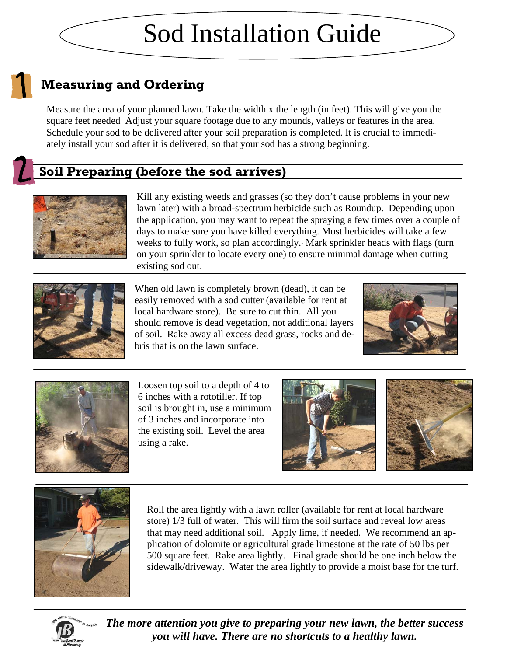# Sod Installation Guide

#### **Measuring and Ordering**

Measure the area of your planned lawn. Take the width x the length (in feet). This will give you the square feet needed Adjust your square footage due to any mounds, valleys or features in the area. Schedule your sod to be delivered after your soil preparation is completed. It is crucial to immediately install your sod after it is delivered, so that your sod has a strong beginning.

### **Soil Preparing (before the sod arrives)**



Kill any existing weeds and grasses (so they don't cause problems in your new lawn later) with a broad-spectrum herbicide such as Roundup. Depending upon the application, you may want to repeat the spraying a few times over a couple of days to make sure you have killed everything. Most herbicides will take a few weeks to fully work, so plan accordingly. Mark sprinkler heads with flags (turn on your sprinkler to locate every one) to ensure minimal damage when cutting existing sod out.



When old lawn is completely brown (dead), it can be easily removed with a sod cutter (available for rent at local hardware store). Be sure to cut thin. All you should remove is dead vegetation, not additional layers of soil. Rake away all excess dead grass, rocks and debris that is on the lawn surface.





Loosen top soil to a depth of 4 to 6 inches with a rototiller. If top soil is brought in, use a minimum of 3 inches and incorporate into the existing soil. Level the area using a rake.





Roll the area lightly with a lawn roller (available for rent at local hardware store) 1/3 full of water. This will firm the soil surface and reveal low areas that may need additional soil. Apply lime, if needed. We recommend an application of dolomite or agricultural grade limestone at the rate of 50 lbs per 500 square feet. Rake area lightly. Final grade should be one inch below the sidewalk/driveway. Water the area lightly to provide a moist base for the turf.



*The more attention you give to preparing your new lawn, the better success you will have. There are no shortcuts to a healthy lawn.*